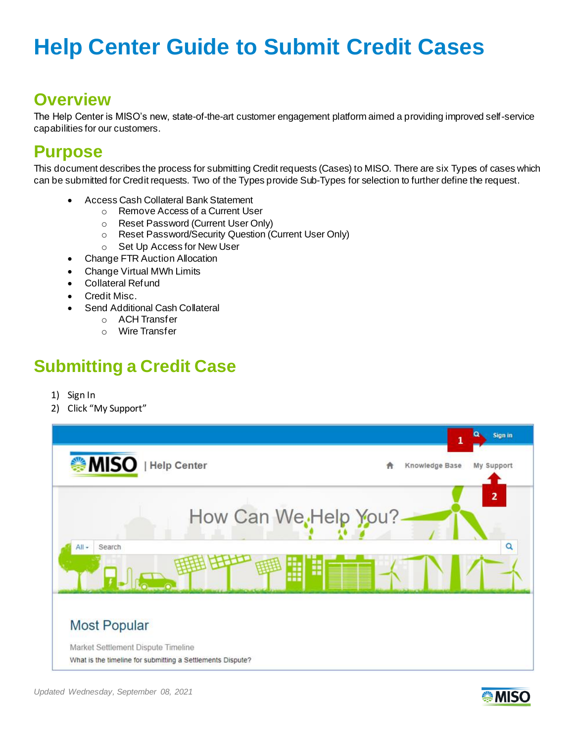#### **Overview**

The Help Center is MISO's new, state-of-the-art customer engagement platform aimed a providing improved self-service capabilities for our customers.

#### **Purpose**

This document describes the process for submitting Credit requests (Cases) to MISO. There are six Types of cases which can be submitted for Credit requests. Two of the Types provide Sub-Types for selection to further define the request.

- Access Cash Collateral Bank Statement
	- o Remove Access of a Current User
	- o Reset Password (Current User Only)
	- o Reset Password/Security Question (Current User Only)
	- o Set Up Access for New User
- Change FTR Auction Allocation
- Change Virtual MWh Limits
- Collateral Refund
- Credit Misc.
- Send Additional Cash Collateral
	- o ACH Transfer
	- o Wire Transfer

### **Submitting a Credit Case**

- 1) Sign In
- 2) Click "My Support"



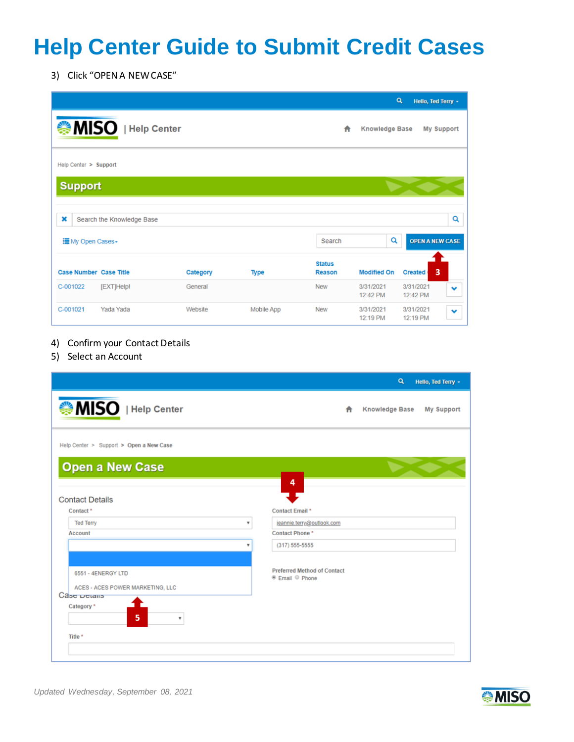3) Click "OPEN A NEW CASE"

|                               |                           |          |             |                         |                       | $\alpha$<br>Hello, Ted Terry +        |   |
|-------------------------------|---------------------------|----------|-------------|-------------------------|-----------------------|---------------------------------------|---|
|                               | MISO   Help Center        |          |             | A                       | <b>Knowledge Base</b> | <b>My Support</b>                     |   |
| Help Center > Support         |                           |          |             |                         |                       |                                       |   |
| <b>Support</b>                |                           |          |             |                         |                       |                                       |   |
| ×                             | Search the Knowledge Base |          |             |                         |                       |                                       | Q |
| ille My Open Cases -          |                           |          |             | Search                  | Q                     | <b>OPEN A NEW CASE</b>                |   |
| <b>Case Number Case Title</b> |                           | Category | <b>Type</b> | <b>Status</b><br>Reason | <b>Modified On</b>    | 3<br><b>Created</b>                   |   |
| C-001022                      | [EXT]Help!                | General  |             | <b>New</b>              | 3/31/2021<br>12:42 PM | 3/31/2021<br>v<br>12:42 PM            |   |
| C-001021                      | Yada Yada                 | Website  | Mobile App  | <b>New</b>              | 3/31/2021<br>12:19 PM | 3/31/2021<br>$\checkmark$<br>12:19 PM |   |

- 4) Confirm your Contact Details
- 5) Select an Account

|                                                        |                         |                                                                             | $\alpha$              | Hello, Ted Terry - |
|--------------------------------------------------------|-------------------------|-----------------------------------------------------------------------------|-----------------------|--------------------|
| MISO   Help Center                                     |                         | ₳                                                                           | <b>Knowledge Base</b> | <b>My Support</b>  |
| Help Center > Support > Open a New Case                |                         |                                                                             |                       |                    |
| <b>Open a New Case</b>                                 |                         |                                                                             |                       |                    |
| <b>Contact Details</b>                                 |                         | 4                                                                           |                       |                    |
| Contact <sup>*</sup>                                   |                         | Contact Email*                                                              |                       |                    |
| <b>Ted Terry</b>                                       | $\overline{\mathbf{v}}$ | jeannie.terry@outlook.com                                                   |                       |                    |
| <b>Account</b>                                         |                         | Contact Phone*                                                              |                       |                    |
|                                                        | ٠                       | $(317) 555 - 5555$                                                          |                       |                    |
| 6551 - 4ENERGY LTD<br>ACES - ACES POWER MARKETING, LLC |                         | <b>Preferred Method of Contact</b><br><sup>●</sup> Email <sup>●</sup> Phone |                       |                    |
| Case Details                                           |                         |                                                                             |                       |                    |
| Category *<br>5<br>$\overline{\mathbf{v}}$             |                         |                                                                             |                       |                    |
| Title *                                                |                         |                                                                             |                       |                    |
|                                                        |                         |                                                                             |                       |                    |
|                                                        |                         |                                                                             |                       |                    |

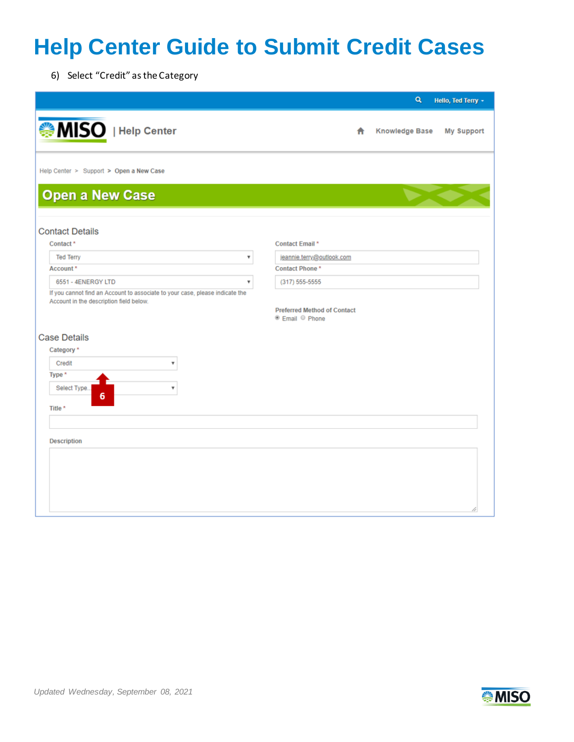6) Select "Credit" as the Category

|                                                                                                                         | Q<br>Hello, Ted Terry +                         |
|-------------------------------------------------------------------------------------------------------------------------|-------------------------------------------------|
| MISO   Help Center                                                                                                      | <b>Knowledge Base</b><br><b>My Support</b><br>A |
| Help Center > Support > Open a New Case                                                                                 |                                                 |
| <b>Open a New Case</b>                                                                                                  |                                                 |
| <b>Contact Details</b>                                                                                                  |                                                 |
| Contact <sup>*</sup>                                                                                                    | <b>Contact Email *</b>                          |
| <b>Ted Terry</b><br>$\overline{\mathbf{v}}$                                                                             | jeannie.terry@outlook.com                       |
| Account*                                                                                                                | <b>Contact Phone*</b>                           |
| 6551 - 4ENERGY LTD<br>v                                                                                                 | $(317) 555 - 5555$                              |
| If you cannot find an Account to associate to your case, please indicate the<br>Account in the description field below. | <b>Preferred Method of Contact</b>              |
|                                                                                                                         | <sup>●</sup> Email <sup>●</sup> Phone           |
| <b>Case Details</b>                                                                                                     |                                                 |
| Category *                                                                                                              |                                                 |
| $\overline{\mathbf{v}}$<br>Credit                                                                                       |                                                 |
| Type *                                                                                                                  |                                                 |
| 7<br>Select Type                                                                                                        |                                                 |
| 6                                                                                                                       |                                                 |
| Title *                                                                                                                 |                                                 |
|                                                                                                                         |                                                 |
| <b>Description</b>                                                                                                      |                                                 |
|                                                                                                                         |                                                 |
|                                                                                                                         |                                                 |
|                                                                                                                         |                                                 |
|                                                                                                                         |                                                 |
|                                                                                                                         |                                                 |
|                                                                                                                         |                                                 |

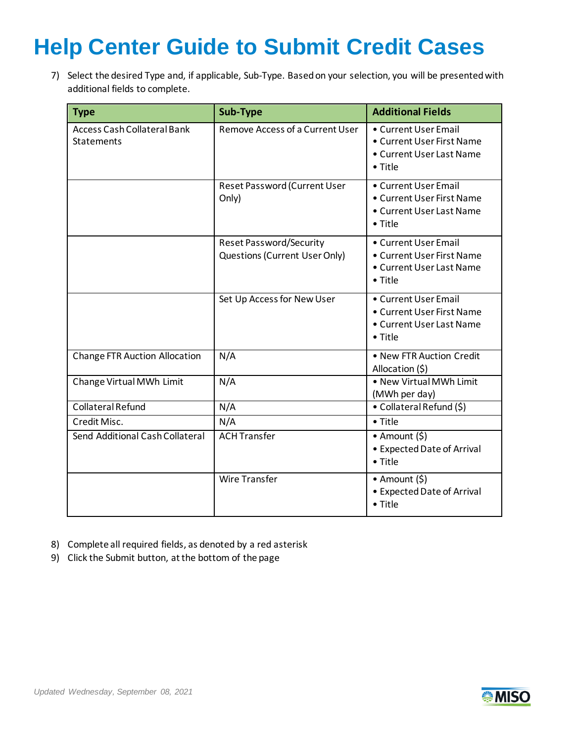7) Select the desired Type and, if applicable, Sub-Type. Based on your selection, you will be presented with additional fields to complete.

| <b>Type</b>                                             | Sub-Type                                                        | <b>Additional Fields</b>                                                                         |
|---------------------------------------------------------|-----------------------------------------------------------------|--------------------------------------------------------------------------------------------------|
| <b>Access Cash Collateral Bank</b><br><b>Statements</b> | Remove Access of a Current User                                 | • Current User Email<br>• Current User First Name<br>• Current User Last Name<br>$\bullet$ Title |
|                                                         | Reset Password (Current User<br>Only)                           | • Current User Email<br>• Current User First Name<br>• Current User Last Name<br>$\bullet$ Title |
|                                                         | <b>Reset Password/Security</b><br>Questions (Current User Only) | • Current User Email<br>• Current User First Name<br>• Current User Last Name<br>• Title         |
|                                                         | Set Up Access for New User                                      | • Current User Email<br>• Current User First Name<br>• Current User Last Name<br>• Title         |
| <b>Change FTR Auction Allocation</b>                    | N/A                                                             | • New FTR Auction Credit<br>Allocation (\$)                                                      |
| Change Virtual MWh Limit                                | N/A                                                             | . New Virtual MWh Limit<br>(MWh per day)                                                         |
| <b>Collateral Refund</b>                                | N/A                                                             | • Collateral Refund (\$)                                                                         |
| Credit Misc.                                            | N/A                                                             | • Title                                                                                          |
| Send Additional Cash Collateral                         | <b>ACH Transfer</b>                                             | • Amount $(5)$<br>• Expected Date of Arrival<br>• Title                                          |
|                                                         | <b>Wire Transfer</b>                                            | • Amount $(5)$<br>• Expected Date of Arrival<br>• Title                                          |

- 8) Complete all required fields, as denoted by a red asterisk
- 9) Click the Submit button, at the bottom of the page